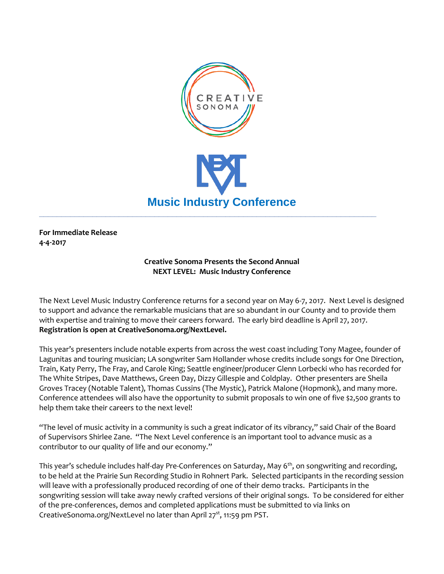

**For Immediate Release 4-4-2017**

## **Creative Sonoma Presents the Second Annual NEXT LEVEL: Music Industry Conference**

The Next Level Music Industry Conference returns for a second year on May 6-7, 2017. Next Level is designed to support and advance the remarkable musicians that are so abundant in our County and to provide them with expertise and training to move their careers forward. The early bird deadline is April 27, 2017. **Registration is open at CreativeSonoma.org/NextLevel.**

This year's presenters include notable experts from across the west coast including Tony Magee, founder of Lagunitas and touring musician; LA songwriter Sam Hollander whose credits include songs for One Direction, Train, Katy Perry, The Fray, and Carole King; Seattle engineer/producer Glenn Lorbecki who has recorded for The White Stripes, Dave Matthews, Green Day, Dizzy Gillespie and Coldplay. Other presenters are Sheila Groves Tracey (Notable Talent), Thomas Cussins (The Mystic), Patrick Malone (Hopmonk), and many more. Conference attendees will also have the opportunity to submit proposals to win one of five \$2,500 grants to help them take their careers to the next level!

"The level of music activity in a community is such a great indicator of its vibrancy," said Chair of the Board of Supervisors Shirlee Zane. "The Next Level conference is an important tool to advance music as a contributor to our quality of life and our economy."

This year's schedule includes half-day Pre-Conferences on Saturday, May 6<sup>th</sup>, on songwriting and recording, to be held at the Prairie Sun Recording Studio in Rohnert Park. Selected participants in the recording session will leave with a professionally produced recording of one of their demo tracks. Participants in the songwriting session will take away newly crafted versions of their original songs. To be considered for either of the pre-conferences, demos and completed applications must be submitted to via links on CreativeSonoma.org/NextLevel no later than April  $27<sup>st</sup>$ , 11:59 pm PST.